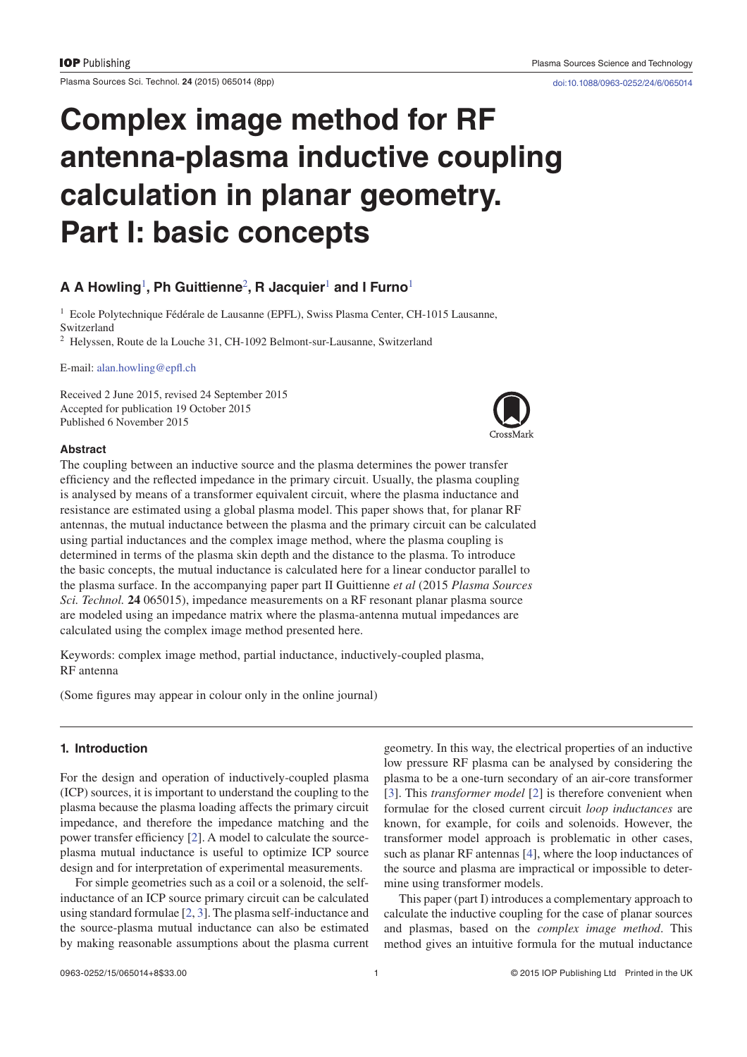Plasma Sources Sci. Technol. **24** (2015) 065014 (8pp) doi:10.1088/0963-0252/24/6/065014

# **Complex image method for RF antenna-plasma inductive coupling calculation in planar geometry. Part I: basic concepts**

# **A A Howling**<sup>1</sup> **, Ph Guittienne**<sup>2</sup> **, R Jacquier**<sup>1</sup>  **and I Furno**<sup>1</sup>

<sup>1</sup> Ecole Polytechnique Fédérale de Lausanne (EPFL), Swiss Plasma Center, CH-1015 Lausanne, Switzerland

2 Helyssen, Route de la Louche 31, CH-1092 Belmont-sur-Lausanne, Switzerland

E-mail: alan.howling@epfl.ch

Received 2 June 2015, revised 24 September 2015 Accepted for publication 19 October 2015 Published 6 November 2015



#### **Abstract**

The coupling between an inductive source and the plasma determines the power transfer efficiency and the reflected impedance in the primary circuit. Usually, the plasma coupling is analysed by means of a transformer equivalent circuit, where the plasma inductance and resistance are estimated using a global plasma model. This paper shows that, for planar RF antennas, the mutual inductance between the plasma and the primary circuit can be calculated using partial inductances and the complex image method, where the plasma coupling is determined in terms of the plasma skin depth and the distance to the plasma. To introduce the basic concepts, the mutual inductance is calculated here for a linear conductor parallel to the plasma surface. In the accompanying paper part II Guittienne *et al* (2015 *Plasma Sources Sci. Technol.* **24** 065015), impedance measurements on a RF resonant planar plasma source are modeled using an impedance matrix where the plasma-antenna mutual impedances are calculated using the complex image method presented here.

Keywords: complex image method, partial inductance, inductively-coupled plasma, RF antenna

(Some figures may appear in colour only in the online journal)

# **1. Introduction**

For the design and operation of inductively-coupled plasma (ICP) sources, it is important to understand the coupling to the plasma because the plasma loading affects the primary circuit impedance, and therefore the impedance matching and the power transfer efficiency  $[2]$ . A model to calculate the sourceplasma mutual inductance is useful to optimize ICP source design and for interpretation of experimental measurements.

For simple geometries such as a coil or a solenoid, the selfinductance of an ICP source primary circuit can be calculated using standard formulae [2, 3]. The plasma self-inductance and the source-plasma mutual inductance can also be estimated by making reasonable assumptions about the plasma current geometry. In this way, the electrical properties of an inductive low pressure RF plasma can be analysed by considering the plasma to be a one-turn secondary of an air-core transformer [3]. This *transformer model* [2] is therefore convenient when formulae for the closed current circuit *loop inductances* are known, for example, for coils and solenoids. However, the transformer model approach is problematic in other cases, such as planar RF antennas [4], where the loop inductances of the source and plasma are impractical or impossible to determine using transformer models.

This paper (part I) introduces a complementary approach to calculate the inductive coupling for the case of planar sources and plasmas, based on the *complex image method*. This method gives an intuitive formula for the mutual inductance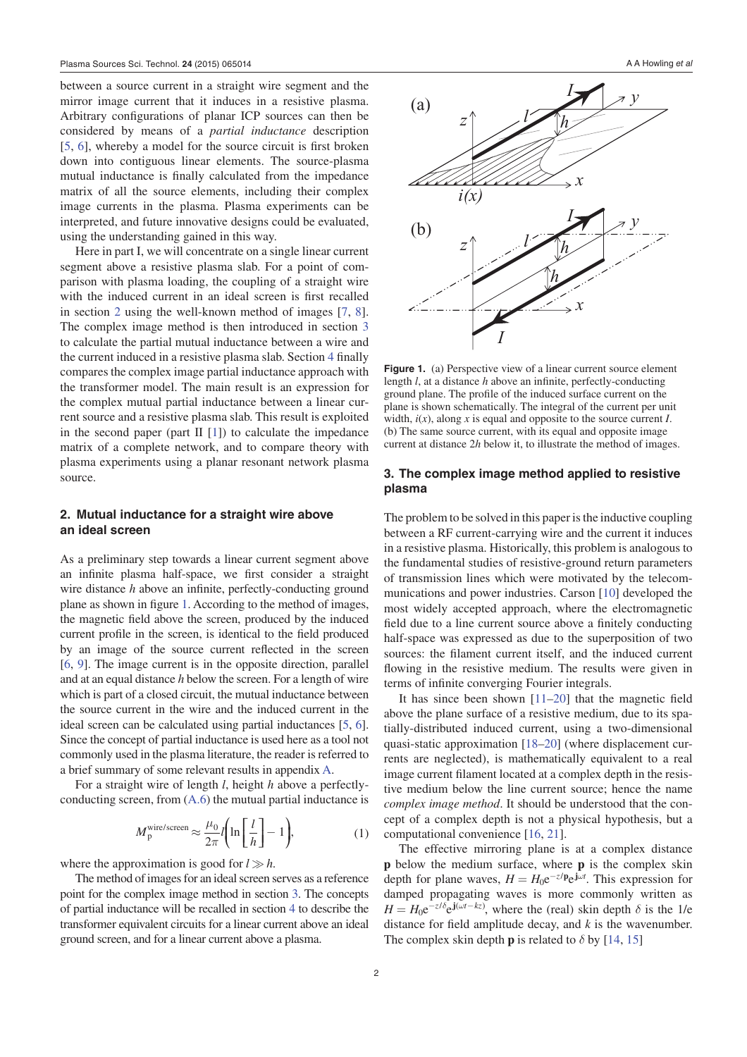between a source current in a straight wire segment and the mirror image current that it induces in a resistive plasma. Arbitrary configurations of planar ICP sources can then be considered by means of a *partial inductance* description  $[5, 6]$ , whereby a model for the source circuit is first broken down into contiguous linear elements. The source-plasma mutual inductance is finally calculated from the impedance matrix of all the source elements, including their complex image currents in the plasma. Plasma experiments can be interpreted, and future innovative designs could be evaluated, using the understanding gained in this way.

Here in part I, we will concentrate on a single linear current segment above a resistive plasma slab. For a point of comparison with plasma loading, the coupling of a straight wire with the induced current in an ideal screen is first recalled in section 2 using the well-known method of images [7, 8]. The complex image method is then introduced in section 3 to calculate the partial mutual inductance between a wire and the current induced in a resistive plasma slab. Section 4 finally compares the complex image partial inductance approach with the transformer model. The main result is an expression for the complex mutual partial inductance between a linear current source and a resistive plasma slab. This result is exploited in the second paper (part  $II$  [1]) to calculate the impedance matrix of a complete network, and to compare theory with plasma experiments using a planar resonant network plasma source.

# **2. Mutual inductance for a straight wire above an ideal screen**

As a preliminary step towards a linear current segment above an infinite plasma half-space, we first consider a straight wire distance *h* above an infinite, perfectly-conducting ground plane as shown in figure 1. According to the method of images, the magnetic field above the screen, produced by the induced current profile in the screen, is identical to the field produced by an image of the source current reflected in the screen [6, 9]. The image current is in the opposite direction, parallel and at an equal distance *h* below the screen. For a length of wire which is part of a closed circuit, the mutual inductance between the source current in the wire and the induced current in the ideal screen can be calculated using partial inductances [5, 6]. Since the concept of partial inductance is used here as a tool not commonly used in the plasma literature, the reader is referred to a brief summary of some relevant results in appendix A.

For a straight wire of length *l*, height *h* above a perfectlyconducting screen, from (A.6) the mutual partial inductance is

$$
M_{\rm p}^{\rm wire/screen} \approx \frac{\mu_0}{2\pi} l \left( \ln \left[ \frac{l}{h} \right] - 1 \right),\tag{1}
$$

where the approximation is good for  $l \gg h$ .

The method of images for an ideal screen serves as a reference point for the complex image method in section 3. The concepts of partial inductance will be recalled in section 4 to describe the transformer equivalent circuits for a linear current above an ideal ground screen, and for a linear current above a plasma.



**Figure 1.** (a) Perspective view of a linear current source element length *l*, at a distance *h* above an infinite, perfectly-conducting ground plane. The profile of the induced surface current on the plane is shown schematically. The integral of the current per unit width,  $i(x)$ , along  $x$  is equal and opposite to the source current  $I$ . (b) The same source current, with its equal and opposite image current at distance 2*h* below it, to illustrate the method of images.

## **3. The complex image method applied to resistive plasma**

The problem to be solved in this paper is the inductive coupling between a RF current-carrying wire and the current it induces in a resistive plasma. Historically, this problem is analogous to the fundamental studies of resistive-ground return parameters of transmission lines which were motivated by the telecommunications and power industries. Carson [10] developed the most widely accepted approach, where the electromagnetic field due to a line current source above a finitely conducting half-space was expressed as due to the superposition of two sources: the filament current itself, and the induced current flowing in the resistive medium. The results were given in terms of infinite converging Fourier integrals.

It has since been shown  $[11–20]$  that the magnetic field above the plane surface of a resistive medium, due to its spatially-distributed induced current, using a two-dimensional quasi-static approximation [18–20] (where displacement currents are neglected), is mathematically equivalent to a real image current filament located at a complex depth in the resistive medium below the line current source; hence the name *complex image method*. It should be understood that the concept of a complex depth is not a physical hypothesis, but a computational convenience [16, 21].

The effective mirroring plane is at a complex distance **p** below the medium surface, where **p** is the complex skin depth for plane waves,  $H = H_0 e^{-z/p} e^{j\omega t}$ . This expression for damped propagating waves is more commonly written as  $H = H_0 e^{-z/\delta} e^{j(\omega t - kz)}$ , where the (real) skin depth  $\delta$  is the 1/e distance for field amplitude decay, and  $k$  is the wavenumber. The complex skin depth **p** is related to  $\delta$  by [14, 15]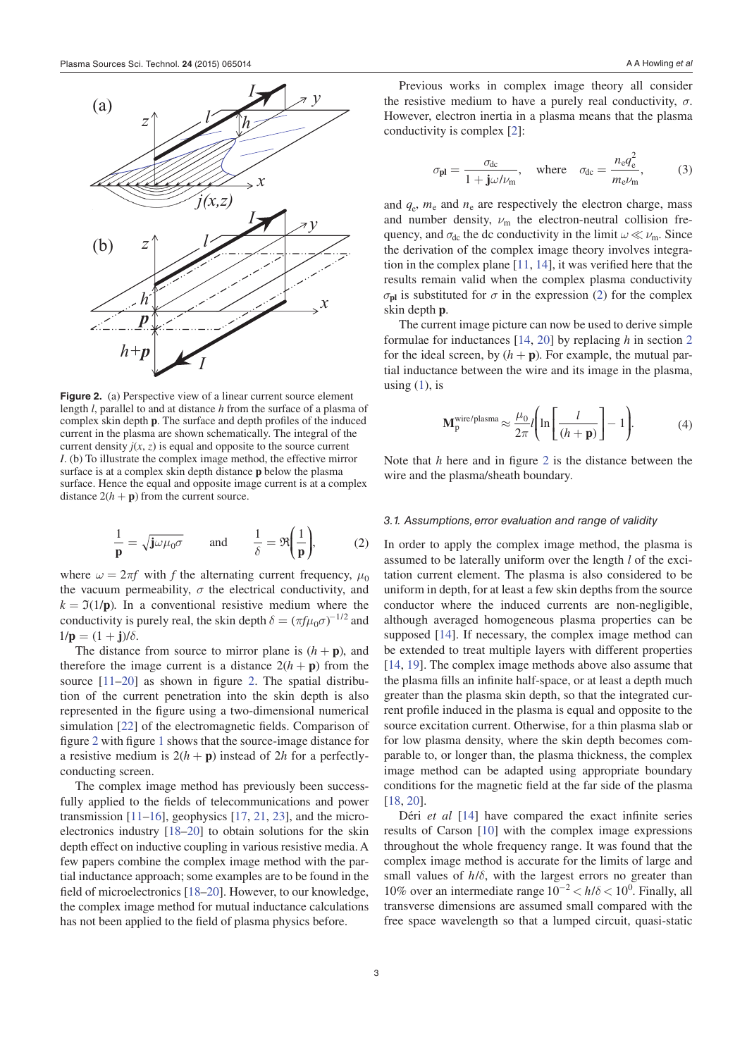

**Figure 2.** (a) Perspective view of a linear current source element length *l*, parallel to and at distance *h* from the surface of a plasma of complex skin depth **p**. The surface and depth profiles of the induced current in the plasma are shown schematically. The integral of the current density  $j(x, z)$  is equal and opposite to the source current *I*. (b) To illustrate the complex image method, the effective mirror surface is at a complex skin depth distance **p** below the plasma surface. Hence the equal and opposite image current is at a complex distance  $2(h + p)$  from the current source.

$$
\frac{1}{\mathbf{p}} = \sqrt{\mathbf{j}\omega\mu_0\sigma} \quad \text{and} \quad \frac{1}{\delta} = \Re\bigg(\frac{1}{\mathbf{p}}\bigg), \quad (2)
$$

where  $\omega = 2\pi f$  with *f* the alternating current frequency,  $\mu_0$ the vacuum permeability,  $\sigma$  the electrical conductivity, and  $k = \mathfrak{I}(1/\mathbf{p})$ . In a conventional resistive medium where the conductivity is purely real, the skin depth  $\delta = (\pi f \mu_0 \sigma)^{-1/2}$  and  $1/p = (1 + j)/\delta$ .

The distance from source to mirror plane is  $(h + \mathbf{p})$ , and therefore the image current is a distance  $2(h + p)$  from the source  $[11–20]$  as shown in figure 2. The spatial distribution of the current penetration into the skin depth is also represented in the figure using a two-dimensional numerical simulation [22] of the electromagnetic fields. Comparison of figure 2 with figure 1 shows that the source-image distance for a resistive medium is  $2(h + p)$  instead of 2*h* for a perfectlyconducting screen.

The complex image method has previously been successfully applied to the fields of telecommunications and power transmission  $[11–16]$ , geophysics  $[17, 21, 23]$ , and the microelectronics industry [18–20] to obtain solutions for the skin depth effect on inductive coupling in various resistive media. A few papers combine the complex image method with the partial inductance approach; some examples are to be found in the field of microelectronics [18–20]. However, to our knowledge, the complex image method for mutual inductance calculations has not been applied to the field of plasma physics before.

Previous works in complex image theory all consider the resistive medium to have a purely real conductivity, *σ*. However, electron inertia in a plasma means that the plasma conductivity is complex [2]:

$$
\sigma_{\mathbf{pl}} = \frac{\sigma_{\text{dc}}}{1 + \mathbf{j}\omega/\nu_{\text{m}}}, \quad \text{where} \quad \sigma_{\text{dc}} = \frac{n_{\text{e}}q_{\text{e}}^2}{m_{\text{e}}\nu_{\text{m}}}, \tag{3}
$$

and  $q_e$ ,  $m_e$  and  $n_e$  are respectively the electron charge, mass and number density,  $\nu_{\rm m}$  the electron-neutral collision frequency, and  $\sigma_{\rm dc}$  the dc conductivity in the limit  $\omega \ll \nu_{\rm m}$ . Since the derivation of the complex image theory involves integration in the complex plane  $[11, 14]$ , it was verified here that the results remain valid when the complex plasma conductivity  $\sigma_{\text{pl}}$  is substituted for  $\sigma$  in the expression (2) for the complex skin depth **p**.

The current image picture can now be used to derive simple formulae for inductances [14, 20] by replacing *h* in section 2 for the ideal screen, by  $(h + p)$ . For example, the mutual partial inductance between the wire and its image in the plasma, using  $(1)$ , is

$$
\mathbf{M}_{\rm p}^{\rm wire/plasma} \approx \frac{\mu_0}{2\pi} l \left( \ln \left[ \frac{l}{(h+\mathbf{p})} \right] - 1 \right). \tag{4}
$$

Note that *h* here and in figure 2 is the distance between the wire and the plasma/sheath boundary.

#### 3.1. Assumptions, error evaluation and range of validity

In order to apply the complex image method, the plasma is assumed to be laterally uniform over the length *l* of the excitation current element. The plasma is also considered to be uniform in depth, for at least a few skin depths from the source conductor where the induced currents are non-negligible, although averaged homogeneous plasma properties can be supposed [14]. If necessary, the complex image method can be extended to treat multiple layers with different properties [14, 19]. The complex image methods above also assume that the plasma fills an infinite half-space, or at least a depth much greater than the plasma skin depth, so that the integrated current profile induced in the plasma is equal and opposite to the source excitation current. Otherwise, for a thin plasma slab or for low plasma density, where the skin depth becomes comparable to, or longer than, the plasma thickness, the complex image method can be adapted using appropriate boundary conditions for the magnetic field at the far side of the plasma [18, 20].

Déri et al [14] have compared the exact infinite series results of Carson [10] with the complex image expressions throughout the whole frequency range. It was found that the complex image method is accurate for the limits of large and small values of  $h/\delta$ , with the largest errors no greater than 10% over an intermediate range  $10^{-2} < h/\delta < 10^{0}$ . Finally, all transverse dimensions are assumed small compared with the free space wavelength so that a lumped circuit, quasi-static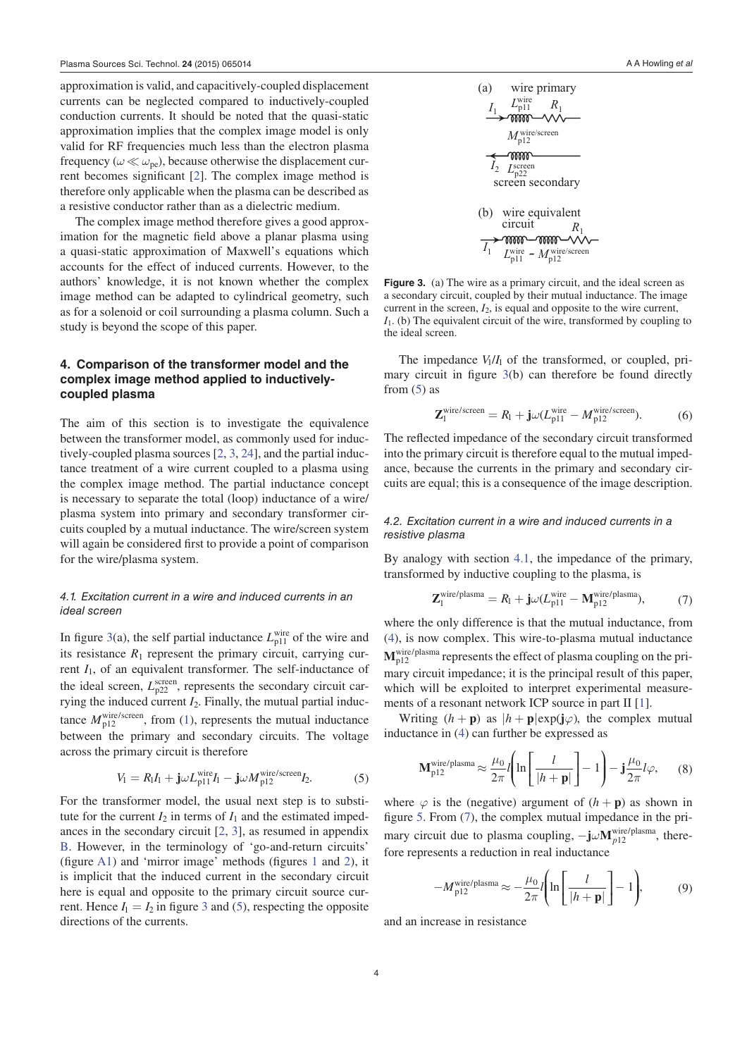approximation is valid, and capacitively-coupled displacement currents can be neglected compared to inductively-coupled conduction currents. It should be noted that the quasi-static approximation implies that the complex image model is only valid for RF frequencies much less than the electron plasma frequency ( $\omega \ll \omega_{pe}$ ), because otherwise the displacement current becomes significant [2]. The complex image method is therefore only applicable when the plasma can be described as a resistive conductor rather than as a dielectric medium.

The complex image method therefore gives a good approximation for the magnetic field above a planar plasma using a quasi-static approximation of Maxwell's equations which accounts for the effect of induced currents. However, to the authors' knowledge, it is not known whether the complex image method can be adapted to cylindrical geometry, such as for a solenoid or coil surrounding a plasma column. Such a study is beyond the scope of this paper.

# **4. Comparison of the transformer model and the complex image method applied to inductivelycoupled plasma**

The aim of this section is to investigate the equivalence between the transformer model, as commonly used for inductively-coupled plasma sources [2, 3, 24], and the partial inductance treatment of a wire current coupled to a plasma using the complex image method. The partial inductance concept is necessary to separate the total (loop) inductance of a wire/ plasma system into primary and secondary transformer circuits coupled by a mutual inductance. The wire/screen system will again be considered first to provide a point of comparison for the wire/plasma system.

## 4.1. Excitation current in a wire and induced currents in an ideal screen

In figure 3(a), the self partial inductance  $L_{p11}^{wire}$  of the wire and its resistance  $R_1$  represent the primary circuit, carrying current *I*1, of an equivalent transformer. The self-inductance of the ideal screen,  $L_{p22}^{\text{screen}}$ , represents the secondary circuit carrying the induced current *I*2. Finally, the mutual partial inductance  $M_{p12}^{wire/screen}$ , from (1), represents the mutual inductance between the primary and secondary circuits. The voltage across the primary circuit is therefore

$$
V_1 = R_1 I_1 + \mathbf{j} \omega L_{\text{p11}}^{\text{wire}} I_1 - \mathbf{j} \omega M_{\text{p12}}^{\text{wire/screen}} I_2.
$$
 (5)

For the transformer model, the usual next step is to substitute for the current  $I_2$  in terms of  $I_1$  and the estimated impedances in the secondary circuit [2, 3], as resumed in appendix B. However, in the terminology of 'go-and-return circuits' (figure A1) and 'mirror image' methods (figures  $1$  and  $2$ ), it is implicit that the induced current in the secondary circuit here is equal and opposite to the primary circuit source current. Hence  $I_1 = I_2$  in figure 3 and (5), respecting the opposite directions of the currents.

(a) wire primary  
\n
$$
\begin{array}{ccc}\nI_1 & L_{p11}^{\text{wire}} & R_1 \\
\hline\nM_{p12}^{\text{wire}} & & \\
M_{p12}^{\text{wire}} & & \\
I_2 & L_{p22}^{\text{screen}} & \\
\hline\n\end{array}
$$
\n\nscreen secondary

\n(b) wire equivalent circuit  $R_1$   
\n $\overline{I_1}$   $\overline{I_{p11}} - M_{p12}^{\text{wire}} = M_{p12}^{\text{wire}}.$ 

**Figure 3.** (a) The wire as a primary circuit, and the ideal screen as a secondary circuit, coupled by their mutual inductance. The image current in the screen,  $I_2$ , is equal and opposite to the wire current, *I*1. (b) The equivalent circuit of the wire, transformed by coupling to the ideal screen.

The impedance  $V_1/I_1$  of the transformed, or coupled, primary circuit in figure  $3(b)$  can therefore be found directly from  $(5)$  as

$$
\mathbf{Z}_{1}^{\text{wire/screen}} = R_{1} + \mathbf{j}\omega (L_{p11}^{\text{wire}} - M_{p12}^{\text{wire/screen}}). \tag{6}
$$

The reflected impedance of the secondary circuit transformed into the primary circuit is therefore equal to the mutual impedance, because the currents in the primary and secondary circuits are equal; this is a consequence of the image description.

#### 4.2. Excitation current in a wire and induced currents in a resistive plasma

By analogy with section 4.1, the impedance of the primary, transformed by inductive coupling to the plasma, is

$$
\mathbf{Z}_{1}^{\text{wire/plasma}} = R_{1} + \mathbf{j}\omega (L_{p11}^{\text{wire}} - \mathbf{M}_{p12}^{\text{wire/plasma}}), \tag{7}
$$

where the only difference is that the mutual inductance, from (4), is now complex. This wire-to-plasma mutual inductance  $\mathbf{M}_{\rm p12}^{\rm wire/plasma}$  represents the effect of plasma coupling on the primary circuit impedance; it is the principal result of this paper, which will be exploited to interpret experimental measurements of a resonant network ICP source in part II [1].

Writing  $(h + \mathbf{p})$  as  $|h + \mathbf{p}|\exp(\mathbf{j}\varphi)$ , the complex mutual inductance in (4) can further be expressed as

$$
\mathbf{M}_{\text{p12}}^{\text{wire/plasma}} \approx \frac{\mu_0}{2\pi} l \left( \ln \left[ \frac{l}{|h + \mathbf{p}|} \right] - 1 \right) - \mathbf{j} \frac{\mu_0}{2\pi} l \varphi, \quad (8)
$$

where  $\varphi$  is the (negative) argument of  $(h + \mathbf{p})$  as shown in figure 5. From (7), the complex mutual impedance in the primary circuit due to plasma coupling,  $-j\omega M_{p12}^{\text{wire}/\text{plasma}}$ , therefore represents a reduction in real inductance

$$
-M_{\rm p12}^{\rm wire/plasma} \approx -\frac{\mu_0}{2\pi} l \left( \ln \left[ \frac{l}{|h+\mathbf{p}|} \right] - 1 \right), \tag{9}
$$

and an increase in resistance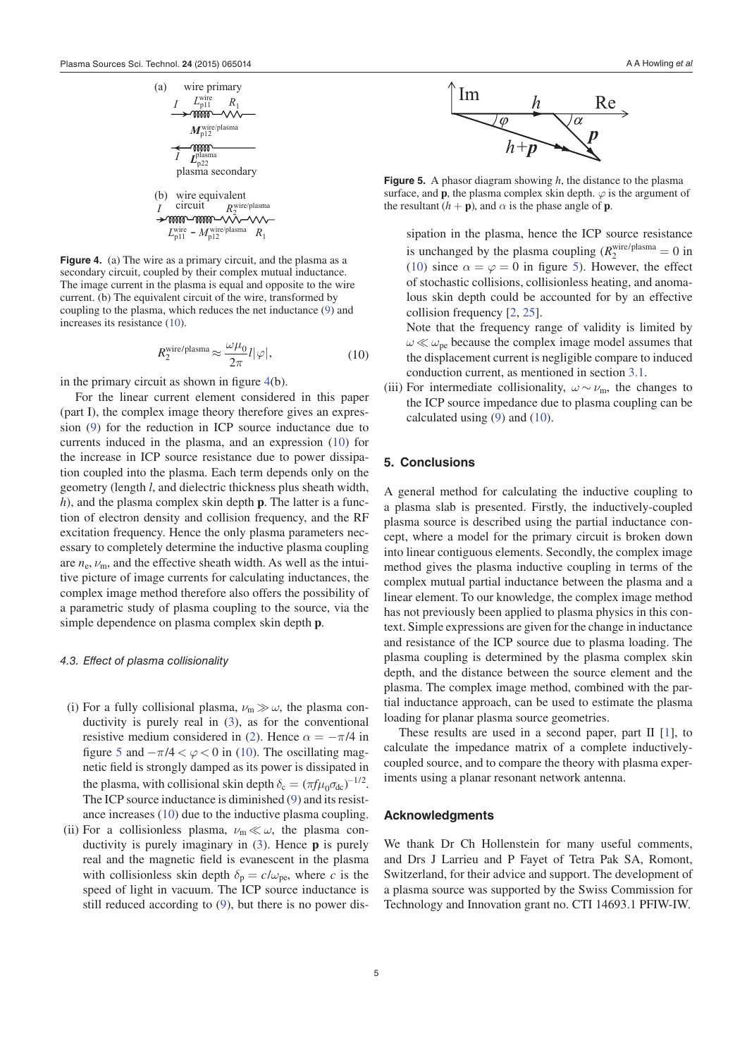(a) wire primary  
\n
$$
I \longrightarrow_{p_{11}}^{L_{p_{11}}^{w_{1r}}} R_1
$$
  
\n $M_{p_{12}}^{w_{1r}}/p_{1a}^{w_{1b}}$   
\n $I \longrightarrow_{p_{12}}^{p_{1a}^{w_{1b}}}$   
\n $I \longrightarrow_{p_{22}}^{p_{2a}^{w_{1b}}}$   
\n(b) wire equivalent  
\n $I \longrightarrow_{p_{11}}^{p_{11}} - M_{p_{12}}^{w_{1r}}/p_{1a}^{w_{1b}}$   
\n $I \longrightarrow_{p_{11}}^{p_{11}} - M_{p_{12}}^{w_{1r}}/p_{1a}^{w_{1b}} R_1$ 

**Figure 4.** (a) The wire as a primary circuit, and the plasma as a secondary circuit, coupled by their complex mutual inductance. The image current in the plasma is equal and opposite to the wire current. (b) The equivalent circuit of the wire, transformed by coupling to the plasma, which reduces the net inductance (9) and increases its resistance (10).

$$
R_2^{\text{wire/plasma}} \approx \frac{\omega \mu_0}{2\pi} l |\varphi|,\tag{10}
$$

in the primary circuit as shown in figure  $4(b)$ .

For the linear current element considered in this paper (part I), the complex image theory therefore gives an expression (9) for the reduction in ICP source inductance due to currents induced in the plasma, and an expression (10) for the increase in ICP source resistance due to power dissipation coupled into the plasma. Each term depends only on the geometry (length *l*, and dielectric thickness plus sheath width, *h*), and the plasma complex skin depth **p**. The latter is a function of electron density and collision frequency, and the RF excitation frequency. Hence the only plasma parameters necessary to completely determine the inductive plasma coupling are  $n_e$ ,  $\nu_m$ , and the effective sheath width. As well as the intuitive picture of image currents for calculating inductances, the complex image method therefore also offers the possibility of a parametric study of plasma coupling to the source, via the simple dependence on plasma complex skin depth **p**.

#### 4.3. Effect of plasma collisionality

- (i) For a fully collisional plasma,  $\nu_{\rm m} \gg \omega$ , the plasma conductivity is purely real in (3), as for the conventional resistive medium considered in (2). Hence  $\alpha = -\pi/4$  in figure 5 and  $-\pi/4 < \varphi < 0$  in (10). The oscillating magnetic field is strongly damped as its power is dissipated in the plasma, with collisional skin depth  $\delta_c = (\pi f \mu_0 \sigma_{dc})^{-1/2}$ . The ICP source inductance is diminished (9) and its resistance increases (10) due to the inductive plasma coupling.
- (ii) For a collisionless plasma,  $\nu_m \ll \omega$ , the plasma conductivity is purely imaginary in (3). Hence **p** is purely real and the magnetic field is evanescent in the plasma with collisionless skin depth  $\delta_p = c/\omega_{pe}$ , where *c* is the speed of light in vacuum. The ICP source inductance is still reduced according to (9), but there is no power dis-



**Figure 5.** A phasor diagram showing *h*, the distance to the plasma surface, and **p**, the plasma complex skin depth.  $\varphi$  is the argument of the resultant  $(h + \mathbf{p})$ , and  $\alpha$  is the phase angle of **p**.

sipation in the plasma, hence the ICP source resistance is unchanged by the plasma coupling  $(R_2^{\text{wire}/\text{plasma}} = 0 \text{ in }$ (10) since  $\alpha = \varphi = 0$  in figure 5). However, the effect of stochastic collisions, collisionless heating, and anomalous skin depth could be accounted for by an effective collision frequency [2, 25].

 Note that the frequency range of validity is limited by  $\omega \ll \omega_{\rm pe}$  because the complex image model assumes that the displacement current is negligible compare to induced conduction current, as mentioned in section 3.1.

(iii) For intermediate collisionality,  $\omega \sim \nu_{\rm m}$ , the changes to the ICP source impedance due to plasma coupling can be calculated using (9) and (10).

# **5. Conclusions**

A general method for calculating the inductive coupling to a plasma slab is presented. Firstly, the inductively-coupled plasma source is described using the partial inductance concept, where a model for the primary circuit is broken down into linear contiguous elements. Secondly, the complex image method gives the plasma inductive coupling in terms of the complex mutual partial inductance between the plasma and a linear element. To our knowledge, the complex image method has not previously been applied to plasma physics in this context. Simple expressions are given for the change in inductance and resistance of the ICP source due to plasma loading. The plasma coupling is determined by the plasma complex skin depth, and the distance between the source element and the plasma. The complex image method, combined with the partial inductance approach, can be used to estimate the plasma loading for planar plasma source geometries.

These results are used in a second paper, part II [1], to calculate the impedance matrix of a complete inductivelycoupled source, and to compare the theory with plasma experiments using a planar resonant network antenna.

#### **Acknowledgments**

We thank Dr Ch Hollenstein for many useful comments, and Drs J Larrieu and P Fayet of Tetra Pak SA, Romont, Switzerland, for their advice and support. The development of a plasma source was supported by the Swiss Commission for Technology and Innovation grant no. CTI 14693.1 PFIW-IW.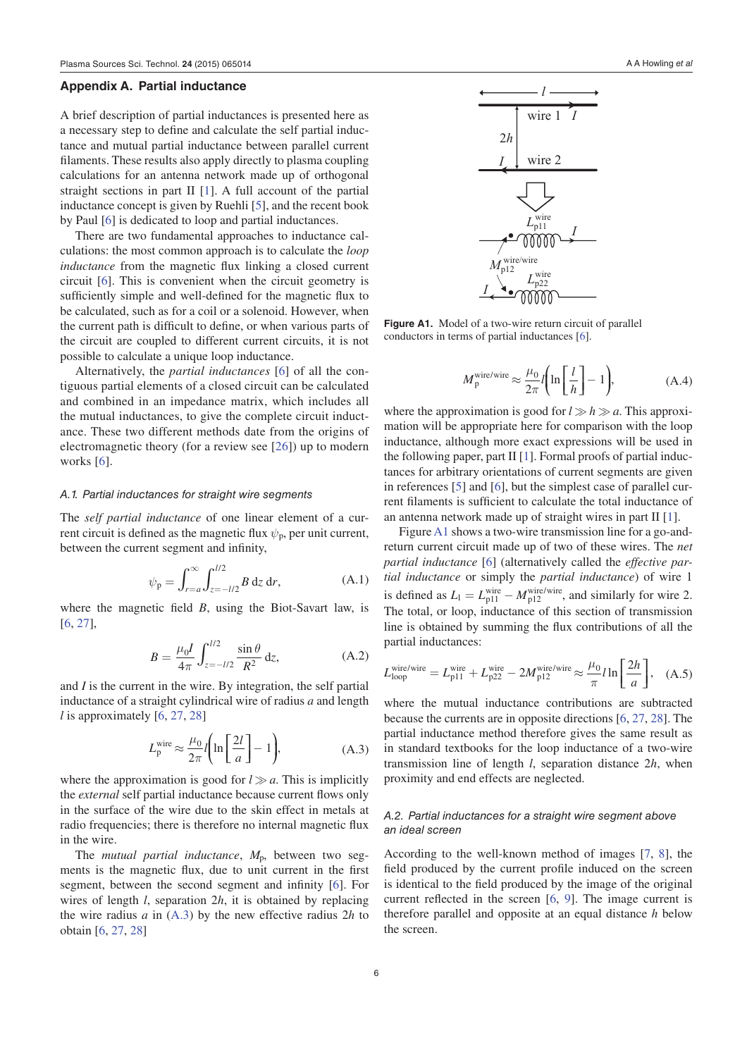#### **Appendix A. Partial inductance**

A brief description of partial inductances is presented here as a necessary step to define and calculate the self partial inductance and mutual partial inductance between parallel current filaments. These results also apply directly to plasma coupling calculations for an antenna network made up of orthogonal straight sections in part II [1]. A full account of the partial inductance concept is given by Ruehli [5], and the recent book by Paul [6] is dedicated to loop and partial inductances.

There are two fundamental approaches to inductance calculations: the most common approach is to calculate the *loop inductance* from the magnetic flux linking a closed current circuit [6]. This is convenient when the circuit geometry is sufficiently simple and well-defined for the magnetic flux to be calculated, such as for a coil or a solenoid. However, when the current path is difficult to define, or when various parts of the circuit are coupled to different current circuits, it is not possible to calculate a unique loop inductance.

Alternatively, the *partial inductances* [6] of all the contiguous partial elements of a closed circuit can be calculated and combined in an impedance matrix, which includes all the mutual inductances, to give the complete circuit inductance. These two different methods date from the origins of electromagnetic theory (for a review see [26]) up to modern works [6].

# A.1. Partial inductances for straight wire segments

The *self partial inductance* of one linear element of a current circuit is defined as the magnetic flux  $\psi_p$ , per unit current, between the current segment and infinity,

$$
\psi_{\rm p} = \int_{r=a}^{\infty} \int_{z=-l/2}^{l/2} B \, dz \, dr,\tag{A.1}
$$

where the magnetic field  $B$ , using the Biot-Savart law, is [6, 27],

$$
B = \frac{\mu_0 I}{4\pi} \int_{z = -l/2}^{l/2} \frac{\sin \theta}{R^2} dz,
$$
 (A.2)

and *I* is the current in the wire. By integration, the self partial inductance of a straight cylindrical wire of radius *a* and length *l* is approximately [6, 27, 28]

$$
L_{\rm p}^{\rm wire} \approx \frac{\mu_0}{2\pi} l \left( \ln \left[ \frac{2l}{a} \right] - 1 \right), \tag{A.3}
$$

where the approximation is good for  $l \gg a$ . This is implicitly the *external* self partial inductance because current flows only in the surface of the wire due to the skin effect in metals at radio frequencies; there is therefore no internal magnetic flux in the wire.

The *mutual partial inductance*,  $M_p$ , between two segments is the magnetic flux, due to unit current in the first segment, between the second segment and infinity [6]. For wires of length *l*, separation 2*h*, it is obtained by replacing the wire radius *a* in (A.3) by the new effective radius 2*h* to obtain [6, 27, 28]



**Figure A1.** Model of a two-wire return circuit of parallel conductors in terms of partial inductances [6].

$$
M_{\rm p}^{\rm wire/wire} \approx \frac{\mu_0}{2\pi} l \left( \ln \left[ \frac{l}{h} \right] - 1 \right), \tag{A.4}
$$

where the approximation is good for  $l \gg h \gg a$ . This approximation will be appropriate here for comparison with the loop inductance, although more exact expressions will be used in the following paper, part  $II$  [1]. Formal proofs of partial inductances for arbitrary orientations of current segments are given in references [5] and [6], but the simplest case of parallel current filaments is sufficient to calculate the total inductance of an antenna network made up of straight wires in part II [1].

Figure A1 shows a two-wire transmission line for a go-andreturn current circuit made up of two of these wires. The *net partial inductance* [6] (alternatively called the *effective partial inductance* or simply the *partial inductance*) of wire 1 is defined as  $L_1 = L_{p11}^{\text{wire}} - M_{p12}^{\text{wire/wire}}$ , and similarly for wire 2. The total, or loop, inductance of this section of transmission line is obtained by summing the flux contributions of all the partial inductances:

$$
L_{\text{loop}}^{\text{wire/wire}} = L_{\text{p11}}^{\text{wire}} + L_{\text{p22}}^{\text{wire}} - 2M_{\text{p12}}^{\text{wire/wire}} \approx \frac{\mu_0}{\pi} l \ln \left[ \frac{2h}{a} \right], \quad \text{(A.5)}
$$

where the mutual inductance contributions are subtracted because the currents are in opposite directions [6, 27, 28]. The partial inductance method therefore gives the same result as in standard textbooks for the loop inductance of a two-wire transmission line of length *l*, separation distance 2*h*, when proximity and end effects are neglected.

## A.2. Partial inductances for a straight wire segment above an ideal screen

According to the well-known method of images [7, 8], the field produced by the current profile induced on the screen is identical to the field produced by the image of the original current reflected in the screen  $[6, 9]$ . The image current is therefore parallel and opposite at an equal distance *h* below the screen.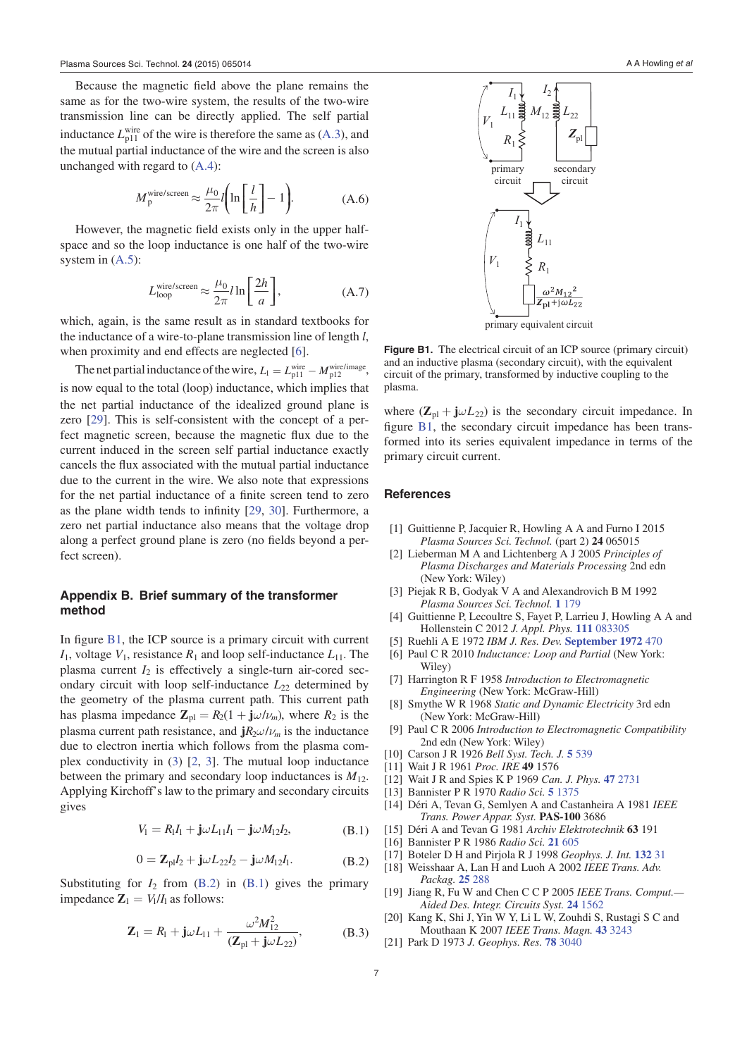Because the magnetic field above the plane remains the same as for the two-wire system, the results of the two-wire transmission line can be directly applied. The self partial inductance  $L_{p11}^{\text{wire}}$  of the wire is therefore the same as  $(A.3)$ , and the mutual partial inductance of the wire and the screen is also unchanged with regard to (A.4):

$$
M_{\rm p}^{\rm wire/screen} \approx \frac{\mu_0}{2\pi} l \left( \ln \left[ \frac{l}{h} \right] - 1 \right). \tag{A.6}
$$

However, the magnetic field exists only in the upper halfspace and so the loop inductance is one half of the two-wire system in  $(A.5)$ :

$$
L_{\text{loop}}^{\text{wire/screen}} \approx \frac{\mu_0}{2\pi} l \ln \left[ \frac{2h}{a} \right],\tag{A.7}
$$

which, again, is the same result as in standard textbooks for the inductance of a wire-to-plane transmission line of length *l*, when proximity and end effects are neglected [6].

The net partial inductance of the wire,  $L_1 = L_{p11}^{\text{wire}} - M_{p12}^{\text{wire/image}}$ , is now equal to the total (loop) inductance, which implies that the net partial inductance of the idealized ground plane is zero [29]. This is self-consistent with the concept of a perfect magnetic screen, because the magnetic flux due to the current induced in the screen self partial inductance exactly cancels the flux associated with the mutual partial inductance due to the current in the wire. We also note that expressions for the net partial inductance of a finite screen tend to zero as the plane width tends to infinity  $[29, 30]$ . Furthermore, a zero net partial inductance also means that the voltage drop along a perfect ground plane is zero (no fields beyond a perfect screen).

## **Appendix B. Brief summary of the transformer method**

In figure  $B1$ , the ICP source is a primary circuit with current  $I_1$ , voltage  $V_1$ , resistance  $R_1$  and loop self-inductance  $L_{11}$ . The plasma current  $I_2$  is effectively a single-turn air-cored secondary circuit with loop self-inductance  $L_{22}$  determined by the geometry of the plasma current path. This current path has plasma impedance  $\mathbf{Z}_{\text{pl}} = R_2(1 + \mathbf{j}\omega/\nu_m)$ , where  $R_2$  is the plasma current path resistance, and  $jR_2\omega/\nu_m$  is the inductance due to electron inertia which follows from the plasma complex conductivity in (3) [2, 3]. The mutual loop inductance between the primary and secondary loop inductances is  $M_{12}$ . Applying Kirchoff's law to the primary and secondary circuits gives

$$
V_1 = R_1 I_1 + j \omega L_{11} I_1 - j \omega M_{12} I_2,
$$
 (B.1)

$$
0 = \mathbf{Z}_{pl}I_2 + \mathbf{j}\omega L_{22}I_2 - \mathbf{j}\omega M_{12}I_1.
$$
 (B.2)

Substituting for  $I_2$  from  $(B.2)$  in  $(B.1)$  gives the primary impedance  $\mathbf{Z}_1 = V_1 / I_1$  as follows:

$$
\mathbf{Z}_1 = R_1 + \mathbf{j}\omega L_{11} + \frac{\omega^2 M_{12}^2}{(\mathbf{Z}_{\text{pl}} + \mathbf{j}\omega L_{22})},
$$
 (B.3)



Figure B1. The electrical circuit of an ICP source (primary circuit) and an inductive plasma (secondary circuit), with the equivalent circuit of the primary, transformed by inductive coupling to the

where  $(\mathbb{Z}_{\text{pl}} + \mathbf{j}\omega L_{22})$  is the secondary circuit impedance. In figure B1, the secondary circuit impedance has been transformed into its series equivalent impedance in terms of the primary circuit current.

#### **References**

plasma.

- [1] Guittienne P, Jacquier R, Howling A A and Furno I 2015 *Plasma Sources Sci. Technol.* (part 2) **24** 065015
- [2] Lieberman M A and Lichtenberg A J 2005 *Principles of Plasma Discharges and Materials Processing* 2nd edn (New York: Wiley)
- [3] Piejak R B, Godyak V A and Alexandrovich B M 1992 *Plasma Sources Sci. Technol.* **1** 179
- [4] Guittienne P, Lecoultre S, Fayet P, Larrieu J, Howling A A and Hollenstein C 2012 *J. Appl. Phys.* **111** 083305
- [5] Ruehli A E 1972 *IBM J. Res. Dev.* **September 1972** 470
- [6] Paul C R 2010 *Inductance: Loop and Partial* (New York: Wiley)
- [7] Harrington R F 1958 *Introduction to Electromagnetic Engineering* (New York: McGraw-Hill)
- [8] Smythe W R 1968 *Static and Dynamic Electricity* 3rd edn (New York: McGraw-Hill)
- [9] Paul C R 2006 *Introduction to Electromagnetic Compatibility* 2nd edn (New York: Wiley)
- [10] Carson J R 1926 *Bell Syst. Tech. J.* **5** 539
- [11] Wait J R 1961 *Proc. IRE* **49** 1576
- [12] Wait J R and Spies K P 1969 *Can. J. Phys.* **47** 2731
- [13] Bannister P R 1970 *Radio Sci.* **5** 1375
- [14] Déri A, Tevan G, Semlyen A and Castanheira A 1981 *IEEE Trans. Power Appar. Syst.* **PAS-100** 3686
- [15] Déri A and Tevan G 1981 *Archiv Elektrotechnik* **63** 191
- [16] Bannister P R 1986 *Radio Sci.* **21** 605
- [17] Boteler D H and Pirjola R J 1998 *Geophys. J. Int.* **132** 31 [18] Weisshaar A, Lan H and Luoh A 2002 *IEEE Trans. Adv.*
- *Packag.* **25** 288 [19] Jiang R, Fu W and Chen C C P 2005 *IEEE Trans. Comput.—*
- *Aided Des. Integr. Circuits Syst.* **24** 1562 [20] Kang K, Shi J, Yin W Y, Li L W, Zouhdi S, Rustagi S C and
- Mouthaan K 2007 *IEEE Trans. Magn.* **43** 3243
- [21] Park D 1973 *J. Geophys. Res.* **78** 3040